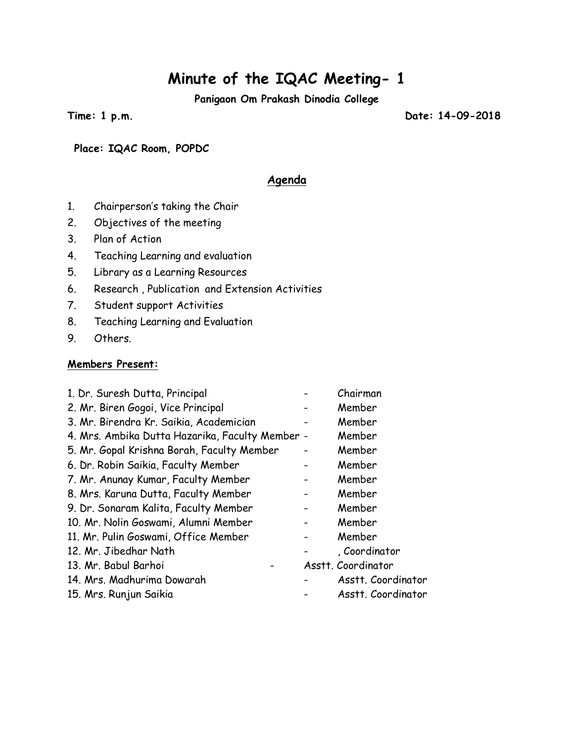# **Minute of the IQAC Meeting- 1**

**Panigaon Om Prakash Dinodia College**

**Time: 1 p.m. Date: 14-09-2018**

**Place: IQAC Room, POPDC**

#### **Agenda**

- 1. Chairperson's taking the Chair
- 2. Objectives of the meeting
- 3. Plan of Action
- 4. Teaching Learning and evaluation
- 5. Library as a Learning Resources
- 6. Research , Publication and Extension Activities
- 7. Student support Activities
- 8. Teaching Learning and Evaluation
- 9. Others.

#### **Members Present:**

| 1. Dr. Suresh Dutta, Principal                  | Chairman           |
|-------------------------------------------------|--------------------|
| 2. Mr. Biren Gogoi, Vice Principal              | Member             |
| 3. Mr. Birendra Kr. Saikia, Academician         | Member             |
| 4. Mrs. Ambika Dutta Hazarika, Faculty Member - | Member             |
| 5. Mr. Gopal Krishna Borah, Faculty Member      | Member             |
| 6. Dr. Robin Saikia, Faculty Member             | Member             |
| 7. Mr. Anunay Kumar, Faculty Member             | Member             |
| 8. Mrs. Karuna Dutta, Faculty Member            | Member             |
| 9. Dr. Sonaram Kalita, Faculty Member           | Member             |
| 10. Mr. Nolin Goswami, Alumni Member            | Member             |
| 11. Mr. Pulin Goswami, Office Member            | Member             |
| 12. Mr. Jibedhar Nath                           | , Coordinator      |
| 13. Mr. Babul Barhoi                            | Asstt. Coordinator |
| 14. Mrs. Madhurima Dowarah                      | Asstt. Coordinator |
| 15. Mrs. Runjun Saikia                          | Asstt. Coordinator |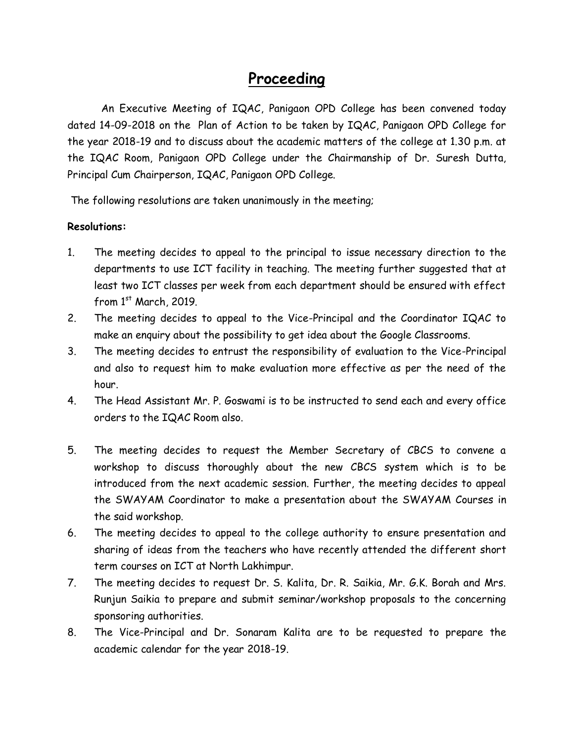### **Proceeding**

An Executive Meeting of IQAC, Panigaon OPD College has been convened today dated 14-09-2018 on the Plan of Action to be taken by IQAC, Panigaon OPD College for the year 2018-19 and to discuss about the academic matters of the college at 1.30 p.m. at the IQAC Room, Panigaon OPD College under the Chairmanship of Dr. Suresh Dutta, Principal Cum Chairperson, IQAC, Panigaon OPD College.

The following resolutions are taken unanimously in the meeting;

#### **Resolutions:**

- 1. The meeting decides to appeal to the principal to issue necessary direction to the departments to use ICT facility in teaching. The meeting further suggested that at least two ICT classes per week from each department should be ensured with effect from  $1<sup>st</sup>$  March, 2019.
- 2. The meeting decides to appeal to the Vice-Principal and the Coordinator IQAC to make an enquiry about the possibility to get idea about the Google Classrooms.
- 3. The meeting decides to entrust the responsibility of evaluation to the Vice-Principal and also to request him to make evaluation more effective as per the need of the hour.
- 4. The Head Assistant Mr. P. Goswami is to be instructed to send each and every office orders to the IQAC Room also.
- 5. The meeting decides to request the Member Secretary of CBCS to convene a workshop to discuss thoroughly about the new CBCS system which is to be introduced from the next academic session. Further, the meeting decides to appeal the SWAYAM Coordinator to make a presentation about the SWAYAM Courses in the said workshop.
- 6. The meeting decides to appeal to the college authority to ensure presentation and sharing of ideas from the teachers who have recently attended the different short term courses on ICT at North Lakhimpur.
- 7. The meeting decides to request Dr. S. Kalita, Dr. R. Saikia, Mr. G.K. Borah and Mrs. Runjun Saikia to prepare and submit seminar/workshop proposals to the concerning sponsoring authorities.
- 8. The Vice-Principal and Dr. Sonaram Kalita are to be requested to prepare the academic calendar for the year 2018-19.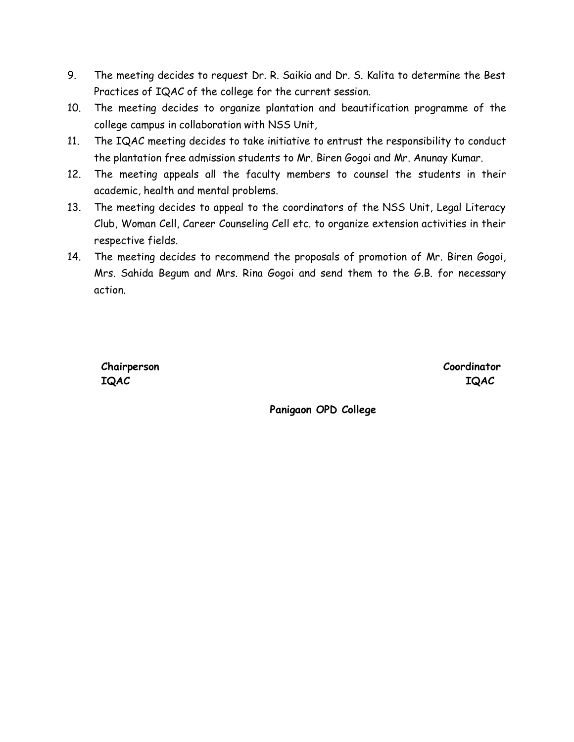- 9. The meeting decides to request Dr. R. Saikia and Dr. S. Kalita to determine the Best Practices of IQAC of the college for the current session.
- 10. The meeting decides to organize plantation and beautification programme of the college campus in collaboration with NSS Unit,
- 11. The IQAC meeting decides to take initiative to entrust the responsibility to conduct the plantation free admission students to Mr. Biren Gogoi and Mr. Anunay Kumar.
- 12. The meeting appeals all the faculty members to counsel the students in their academic, health and mental problems.
- 13. The meeting decides to appeal to the coordinators of the NSS Unit, Legal Literacy Club, Woman Cell, Career Counseling Cell etc. to organize extension activities in their respective fields.
- 14. The meeting decides to recommend the proposals of promotion of Mr. Biren Gogoi, Mrs. Sahida Begum and Mrs. Rina Gogoi and send them to the G.B. for necessary action.

**IQAC IQAC**

**Chairperson Coordinator**

**Panigaon OPD College**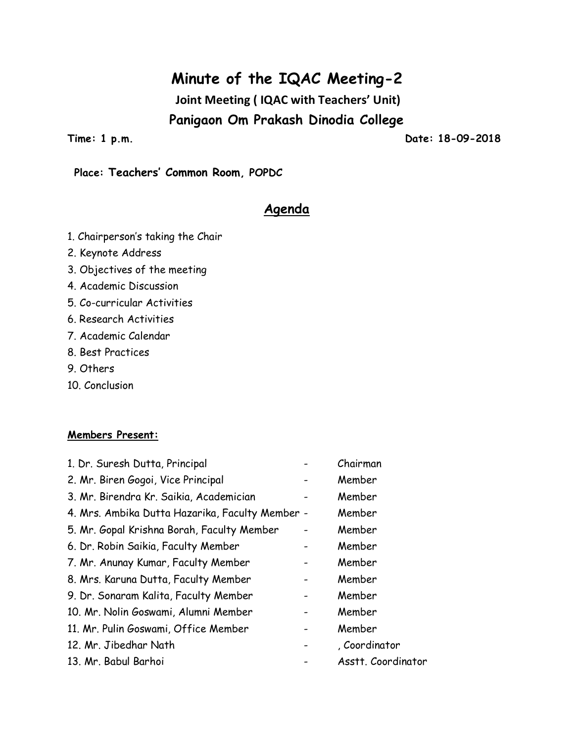### **Minute of the IQAC Meeting-2**

**Joint Meeting ( IQAC with Teachers' Unit) Panigaon Om Prakash Dinodia College**

**Time: 1 p.m. Date: 18-09-2018**

#### **Place: Teachers' Common Room, POPDC**

### **Agenda**

- 1. Chairperson's taking the Chair
- 2. Keynote Address
- 3. Objectives of the meeting
- 4. Academic Discussion
- 5. Co-curricular Activities
- 6. Research Activities
- 7. Academic Calendar
- 8. Best Practices
- 9. Others
- 10. Conclusion

#### **Members Present:**

| 1. Dr. Suresh Dutta, Principal                  | Chairman           |
|-------------------------------------------------|--------------------|
| 2. Mr. Biren Gogoi, Vice Principal              | Member             |
| 3. Mr. Birendra Kr. Saikia, Academician         | Member             |
| 4. Mrs. Ambika Dutta Hazarika, Faculty Member - | Member             |
| 5. Mr. Gopal Krishna Borah, Faculty Member      | Member             |
| 6. Dr. Robin Saikia, Faculty Member             | Member             |
| 7. Mr. Anunay Kumar, Faculty Member             | Member             |
| 8. Mrs. Karuna Dutta, Faculty Member            | Member             |
| 9. Dr. Sonaram Kalita, Faculty Member           | Member             |
| 10. Mr. Nolin Goswami, Alumni Member            | Member             |
| 11. Mr. Pulin Goswami, Office Member            | Member             |
| 12. Mr. Jibedhar Nath                           | , Coordinator      |
| 13. Mr. Babul Barhoi                            | Asstt. Coordinator |
|                                                 |                    |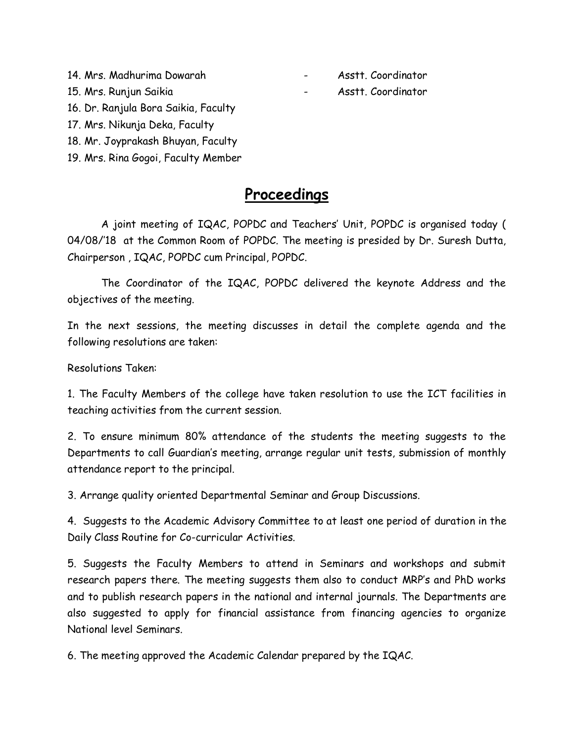- 14. Mrs. Madhurima Dowarah Asstt. Coordinator
- 
- 
- 15. Mrs. Runjun Saikia Asstt. Coordinator
- 16. Dr. Ranjula Bora Saikia, Faculty
- 17. Mrs. Nikunja Deka, Faculty
- 18. Mr. Joyprakash Bhuyan, Faculty
- 19. Mrs. Rina Gogoi, Faculty Member

### **Proceedings**

A joint meeting of IQAC, POPDC and Teachers' Unit, POPDC is organised today ( 04/08/'18 at the Common Room of POPDC. The meeting is presided by Dr. Suresh Dutta, Chairperson , IQAC, POPDC cum Principal, POPDC.

The Coordinator of the IQAC, POPDC delivered the keynote Address and the objectives of the meeting.

In the next sessions, the meeting discusses in detail the complete agenda and the following resolutions are taken:

Resolutions Taken:

1. The Faculty Members of the college have taken resolution to use the ICT facilities in teaching activities from the current session.

2. To ensure minimum 80% attendance of the students the meeting suggests to the Departments to call Guardian's meeting, arrange regular unit tests, submission of monthly attendance report to the principal.

3. Arrange quality oriented Departmental Seminar and Group Discussions.

4. Suggests to the Academic Advisory Committee to at least one period of duration in the Daily Class Routine for Co-curricular Activities.

5. Suggests the Faculty Members to attend in Seminars and workshops and submit research papers there. The meeting suggests them also to conduct MRP's and PhD works and to publish research papers in the national and internal journals. The Departments are also suggested to apply for financial assistance from financing agencies to organize National level Seminars.

6. The meeting approved the Academic Calendar prepared by the IQAC.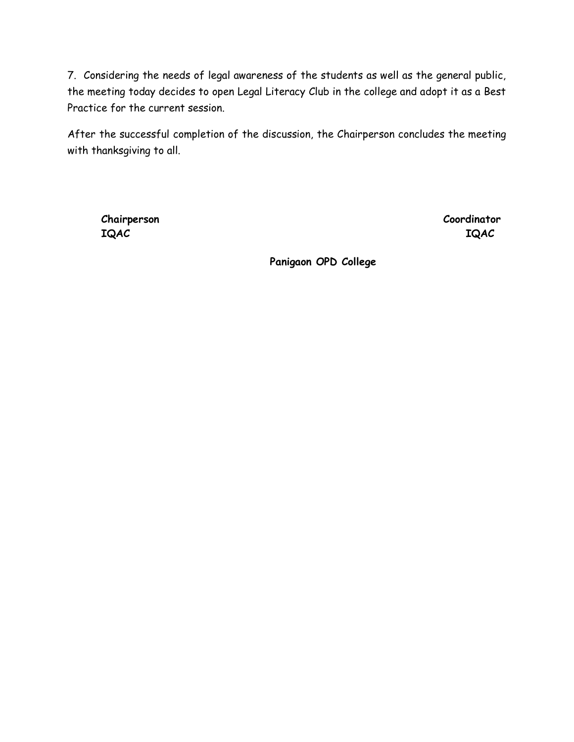7. Considering the needs of legal awareness of the students as well as the general public, the meeting today decides to open Legal Literacy Club in the college and adopt it as a Best Practice for the current session.

After the successful completion of the discussion, the Chairperson concludes the meeting with thanksgiving to all.

**Chairperson Coordinator IQAC IQAC**

**Panigaon OPD College**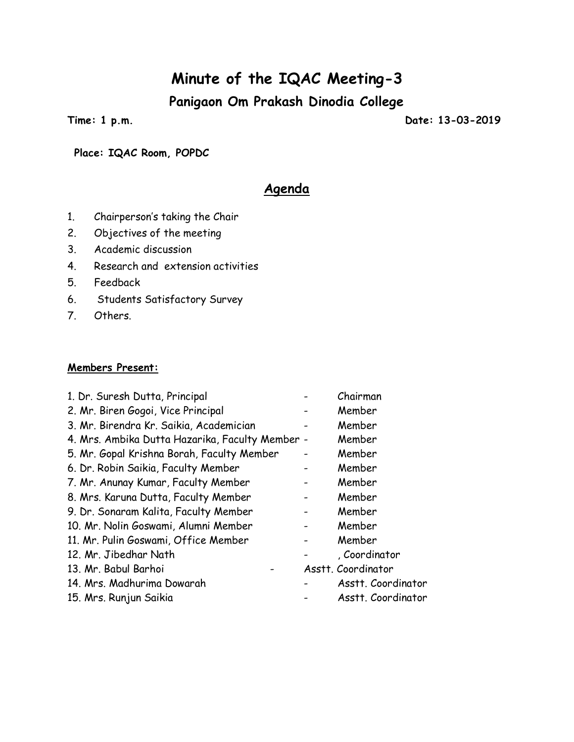## **Minute of the IQAC Meeting-3**

**Panigaon Om Prakash Dinodia College**

**Time: 1 p.m. Date: 13-03-2019**

**Place: IQAC Room, POPDC**

### **Agenda**

- 1. Chairperson's taking the Chair
- 2. Objectives of the meeting
- 3. Academic discussion
- 4. Research and extension activities
- 5. Feedback
- 6. Students Satisfactory Survey
- 7. Others.

#### **Members Present:**

| 1. Dr. Suresh Dutta, Principal                  | Chairman           |
|-------------------------------------------------|--------------------|
| 2. Mr. Biren Gogoi, Vice Principal              | Member             |
| 3. Mr. Birendra Kr. Saikia, Academician         | Member             |
| 4. Mrs. Ambika Dutta Hazarika, Faculty Member - | Member             |
| 5. Mr. Gopal Krishna Borah, Faculty Member      | Member             |
| 6. Dr. Robin Saikia, Faculty Member             | Member             |
| 7. Mr. Anunay Kumar, Faculty Member             | Member             |
| 8. Mrs. Karuna Dutta, Faculty Member            | Member             |
| 9. Dr. Sonaram Kalita, Faculty Member           | Member             |
| 10. Mr. Nolin Goswami, Alumni Member            | Member             |
| 11. Mr. Pulin Goswami, Office Member            | Member             |
| 12. Mr. Jibedhar Nath                           | Coordinator        |
| 13. Mr. Babul Barhoi                            | Asstt. Coordinator |
| 14. Mrs. Madhurima Dowarah                      | Asstt. Coordinator |
| 15. Mrs. Runjun Saikia                          | Asstt. Coordinator |